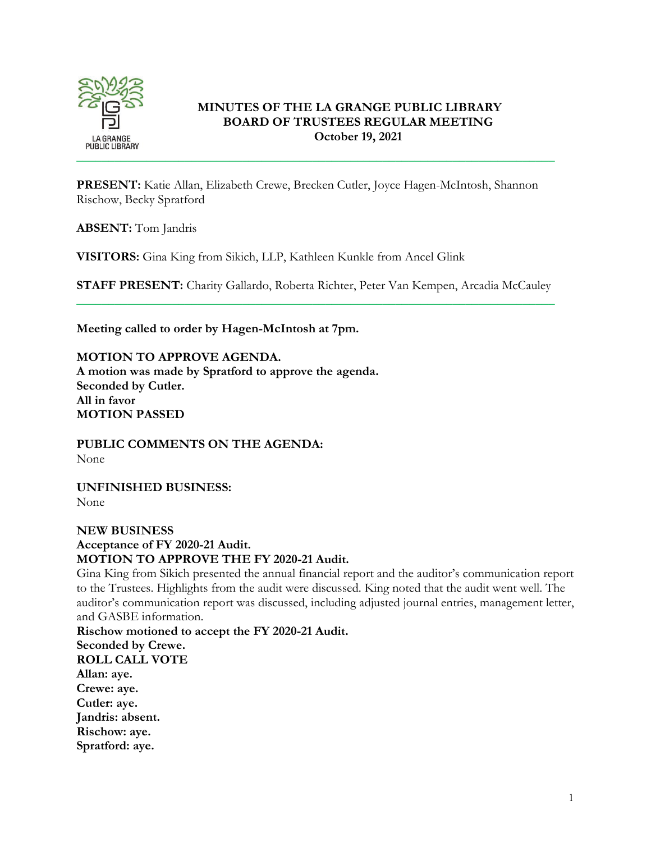

# **MINUTES OF THE LA GRANGE PUBLIC LIBRARY BOARD OF TRUSTEES REGULAR MEETING October 19, 2021**

**PRESENT:** Katie Allan, Elizabeth Crewe, Brecken Cutler, Joyce Hagen-McIntosh, Shannon Rischow, Becky Spratford

**ABSENT:** Tom Jandris

**VISITORS:** Gina King from Sikich, LLP, Kathleen Kunkle from Ancel Glink

**STAFF PRESENT:** Charity Gallardo, Roberta Richter, Peter Van Kempen, Arcadia McCauley \_\_\_\_\_\_\_\_\_\_\_\_\_\_\_\_\_\_\_\_\_\_\_\_\_\_\_\_\_\_\_\_\_\_\_\_\_\_\_\_\_\_\_\_\_\_\_\_\_\_\_\_\_\_\_\_\_\_\_\_\_\_\_\_\_\_\_\_\_\_\_\_\_\_\_

**Meeting called to order by Hagen-McIntosh at 7pm.**

**MOTION TO APPROVE AGENDA. A motion was made by Spratford to approve the agenda. Seconded by Cutler. All in favor MOTION PASSED**

**PUBLIC COMMENTS ON THE AGENDA:**  None

**UNFINISHED BUSINESS:** None

**NEW BUSINESS Acceptance of FY 2020-21 Audit. MOTION TO APPROVE THE FY 2020-21 Audit.** 

Gina King from Sikich presented the annual financial report and the auditor's communication report to the Trustees. Highlights from the audit were discussed. King noted that the audit went well. The auditor's communication report was discussed, including adjusted journal entries, management letter, and GASBE information.

**Rischow motioned to accept the FY 2020-21 Audit. Seconded by Crewe. ROLL CALL VOTE Allan: aye. Crewe: aye. Cutler: aye. Jandris: absent. Rischow: aye. Spratford: aye.**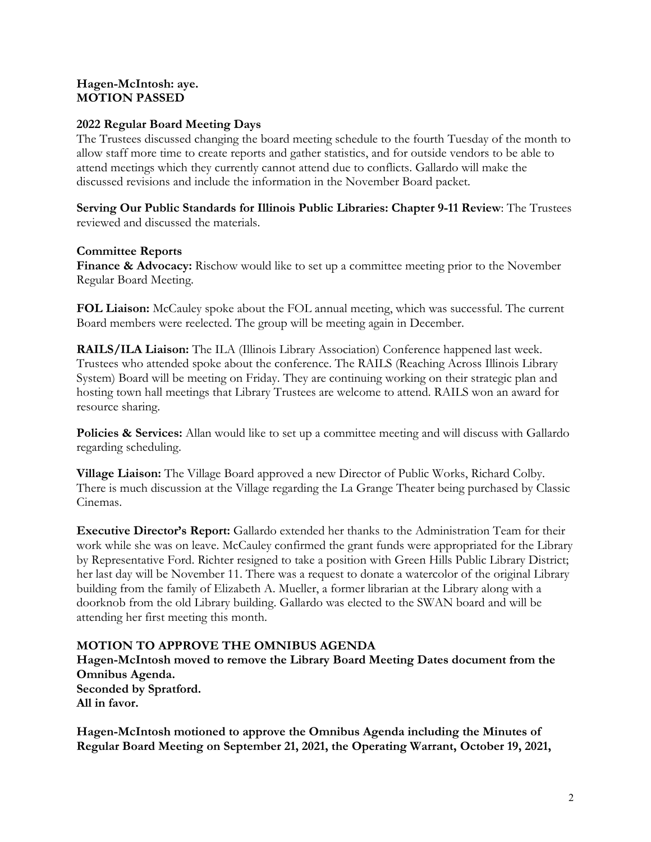### **Hagen-McIntosh: aye. MOTION PASSED**

# **2022 Regular Board Meeting Days**

The Trustees discussed changing the board meeting schedule to the fourth Tuesday of the month to allow staff more time to create reports and gather statistics, and for outside vendors to be able to attend meetings which they currently cannot attend due to conflicts. Gallardo will make the discussed revisions and include the information in the November Board packet.

**Serving Our Public Standards for Illinois Public Libraries: Chapter 9-11 Review**: The Trustees reviewed and discussed the materials.

### **Committee Reports**

**Finance & Advocacy:** Rischow would like to set up a committee meeting prior to the November Regular Board Meeting.

**FOL Liaison:** McCauley spoke about the FOL annual meeting, which was successful. The current Board members were reelected. The group will be meeting again in December.

**RAILS/ILA Liaison:** The ILA (Illinois Library Association) Conference happened last week. Trustees who attended spoke about the conference. The RAILS (Reaching Across Illinois Library System) Board will be meeting on Friday. They are continuing working on their strategic plan and hosting town hall meetings that Library Trustees are welcome to attend. RAILS won an award for resource sharing.

**Policies & Services:** Allan would like to set up a committee meeting and will discuss with Gallardo regarding scheduling.

**Village Liaison:** The Village Board approved a new Director of Public Works, Richard Colby. There is much discussion at the Village regarding the La Grange Theater being purchased by Classic Cinemas.

**Executive Director's Report:** Gallardo extended her thanks to the Administration Team for their work while she was on leave. McCauley confirmed the grant funds were appropriated for the Library by Representative Ford. Richter resigned to take a position with Green Hills Public Library District; her last day will be November 11. There was a request to donate a watercolor of the original Library building from the family of Elizabeth A. Mueller, a former librarian at the Library along with a doorknob from the old Library building. Gallardo was elected to the SWAN board and will be attending her first meeting this month.

# **MOTION TO APPROVE THE OMNIBUS AGENDA**

**Hagen-McIntosh moved to remove the Library Board Meeting Dates document from the Omnibus Agenda. Seconded by Spratford. All in favor.** 

**Hagen-McIntosh motioned to approve the Omnibus Agenda including the Minutes of Regular Board Meeting on September 21, 2021, the Operating Warrant, October 19, 2021,**